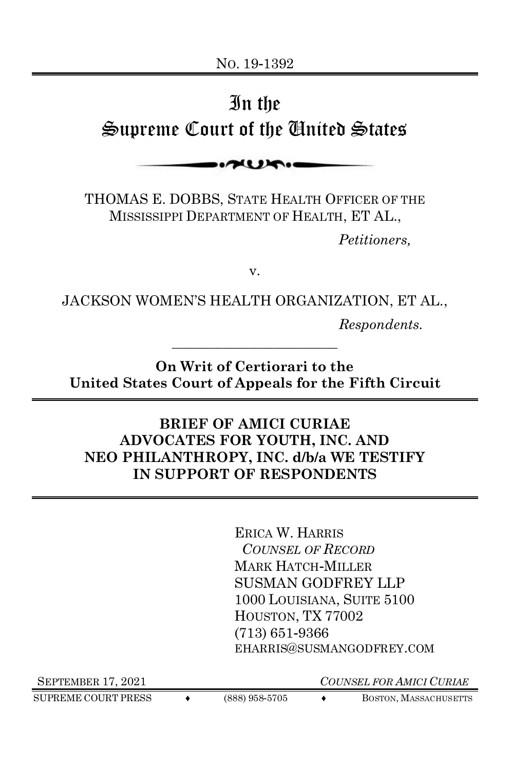# In the Supreme Court of the United States



THOMAS E. DOBBS, STATE HEALTH OFFICER OF THE MISSISSIPPI DEPARTMENT OF HEALTH, ET AL.,

*Petitioners,*

v.

JACKSON WOMEN'S HEALTH ORGANIZATION, ET AL.,

*Respondents.*

**On Writ of Certiorari to the United States Court of Appeals for the Fifth Circuit**

\_\_\_\_\_\_\_\_\_\_\_\_\_\_\_\_\_\_\_\_\_\_\_\_\_\_

## **BRIEF OF AMICI CURIAE ADVOCATES FOR YOUTH, INC. AND NEO PHILANTHROPY, INC. d/b/a WE TESTIFY IN SUPPORT OF RESPONDENTS**

ERICA W. HARRIS *COUNSEL OF RECORD*  MARK HATCH-MILLER SUSMAN GODFREY LLP 1000 LOUISIANA, SUITE 5100 HOUSTON, TX 77002 (713) 651-9366 EHARRIS@SUSMANGODFREY.COM

SUPREME COURT PRESS  $\leftrightarrow$  (888) 958-5705  $\leftrightarrow$  BOSTON, MASSACHUSETTS

SEPTEMBER 17, 2021 *COUNSEL FOR AMICI CURIAE*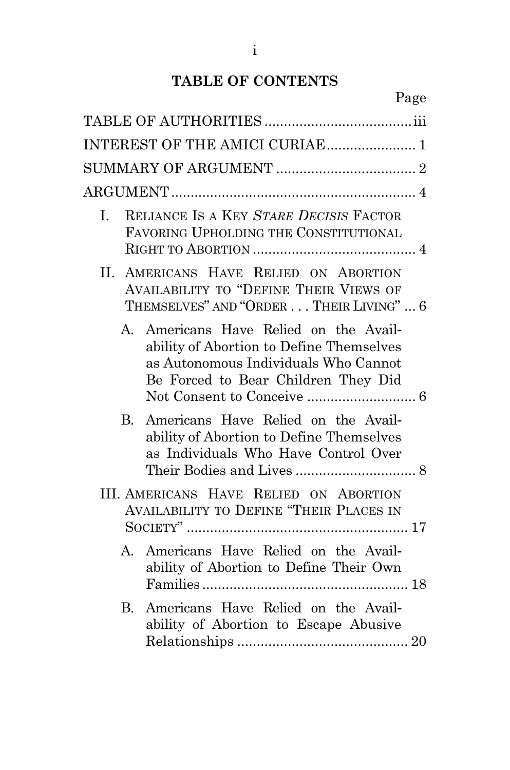# **TABLE OF CONTENTS**

|              | INTEREST OF THE AMICI CURIAE 1                                                                                                                                    |
|--------------|-------------------------------------------------------------------------------------------------------------------------------------------------------------------|
|              |                                                                                                                                                                   |
|              |                                                                                                                                                                   |
| L.           | RELIANCE IS A KEY STARE DECISIS FACTOR<br>FAVORING UPHOLDING THE CONSTITUTIONAL                                                                                   |
|              | II. AMERICANS HAVE RELIED ON ABORTION<br><b>AVAILABILITY TO "DEFINE THEIR VIEWS OF</b><br>THEMSELVES" AND "ORDER THEIR LIVING"  6                                 |
|              | A. Americans Have Relied on the Avail-<br>ability of Abortion to Define Themselves<br>as Autonomous Individuals Who Cannot<br>Be Forced to Bear Children They Did |
| $B_{\cdot}$  | Americans Have Relied on the Avail-<br>ability of Abortion to Define Themselves<br>as Individuals Who Have Control Over                                           |
|              | III. AMERICANS HAVE RELIED ON ABORTION<br><b>AVAILABILITY TO DEFINE "THEIR PLACES IN</b>                                                                          |
| $\mathbf{A}$ | Americans Have Relied on the Avail-<br>ability of Abortion to Define Their Own                                                                                    |
| $B_{\cdot}$  | Americans Have Relied on the Avail-<br>ability of Abortion to Escape Abusive                                                                                      |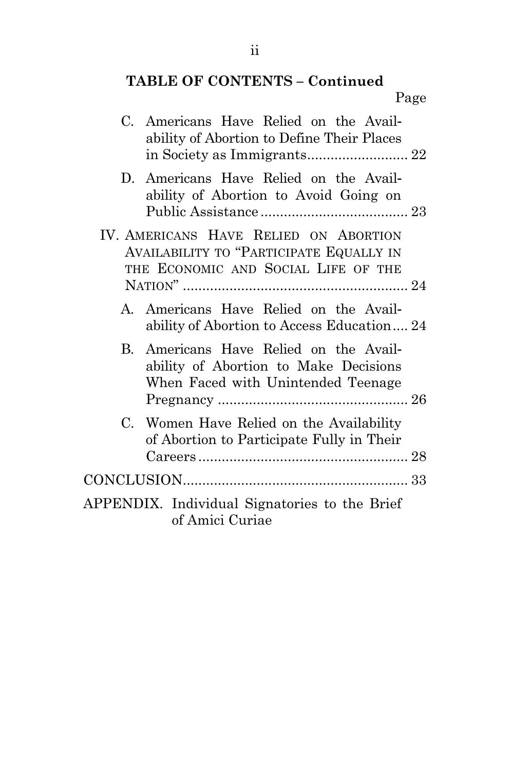# **TABLE OF CONTENTS – Continued**

Page

|              | C. Americans Have Relied on the Avail-<br>ability of Abortion to Define Their Places                                    |  |
|--------------|-------------------------------------------------------------------------------------------------------------------------|--|
|              | D. Americans Have Relied on the Avail-<br>ability of Abortion to Avoid Going on                                         |  |
|              | IV. AMERICANS HAVE RELIED ON ABORTION<br>AVAILABILITY TO "PARTICIPATE EQUALLY IN<br>THE ECONOMIC AND SOCIAL LIFE OF THE |  |
|              | A. Americans Have Relied on the Avail-<br>ability of Abortion to Access Education 24                                    |  |
| $\mathbf{B}$ | Americans Have Relied on the Avail-<br>ability of Abortion to Make Decisions<br>When Faced with Unintended Teenage      |  |
|              | C. Women Have Relied on the Availability<br>of Abortion to Participate Fully in Their                                   |  |
|              |                                                                                                                         |  |
|              | APPENDIX. Individual Signatories to the Brief<br>of Amici Curiae                                                        |  |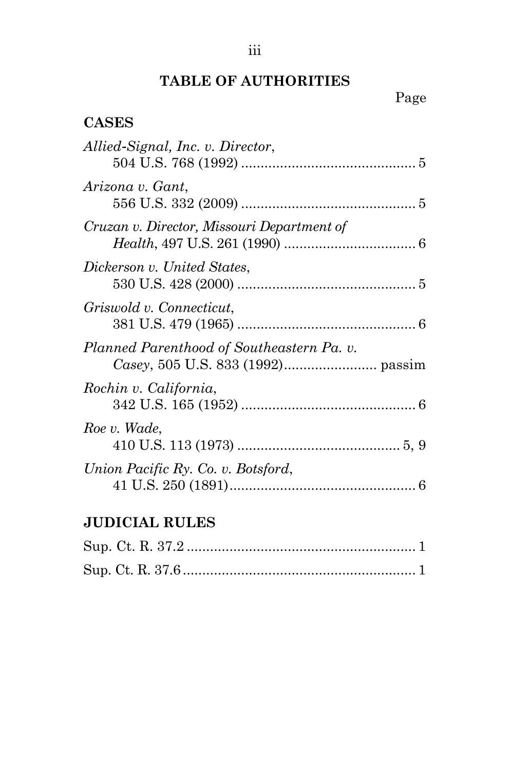# **TABLE OF AUTHORITIES**

## Page

## <span id="page-3-0"></span>**CASES**

| Allied-Signal, Inc. v. Director,           |  |
|--------------------------------------------|--|
| Arizona v. Gant,                           |  |
| Cruzan v. Director, Missouri Department of |  |
| Dickerson v. United States,                |  |
| Griswold v. Connecticut,                   |  |
| Planned Parenthood of Southeastern Pa. v.  |  |
| Rochin v. California,                      |  |
| Roe v. Wade,                               |  |
| Union Pacific Ry. Co. v. Botsford,         |  |
|                                            |  |

# **JUDICIAL RULES**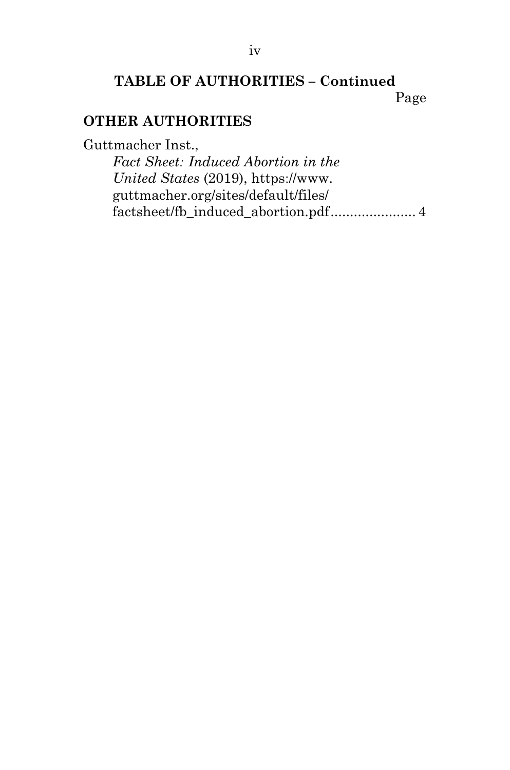#### **TABLE OF AUTHORITIES – Continued** Page

## **OTHER AUTHORITIES**

Guttmacher Inst.,

*Fact Sheet: Induced Abortion in the United States* (2019), https://www. guttmacher.org/sites/default/files/ factsheet/fb\_induced\_abortion.pdf...................... 4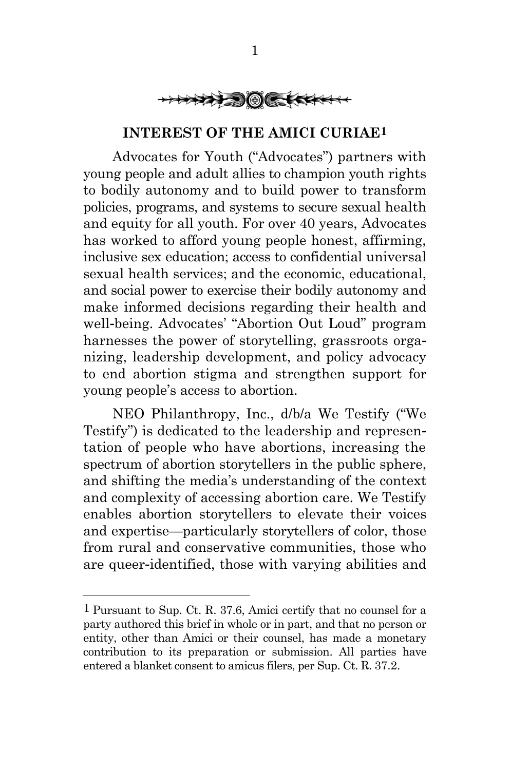

#### **INTEREST OF THE AMICI CURIAE1**

<span id="page-5-0"></span>Advocates for Youth ("Advocates") partners with young people and adult allies to champion youth rights to bodily autonomy and to build power to transform policies, programs, and systems to secure sexual health and equity for all youth. For over 40 years, Advocates has worked to afford young people honest, affirming, inclusive sex education; access to confidential universal sexual health services; and the economic, educational, and social power to exercise their bodily autonomy and make informed decisions regarding their health and well-being. Advocates' "Abortion Out Loud" program harnesses the power of storytelling, grassroots organizing, leadership development, and policy advocacy to end abortion stigma and strengthen support for young people's access to abortion.

NEO Philanthropy, Inc., d/b/a We Testify ("We Testify") is dedicated to the leadership and representation of people who have abortions, increasing the spectrum of abortion storytellers in the public sphere, and shifting the media's understanding of the context and complexity of accessing abortion care. We Testify enables abortion storytellers to elevate their voices and expertise—particularly storytellers of color, those from rural and conservative communities, those who are queer-identified, those with varying abilities and

<sup>1</sup> Pursuant to Sup. Ct. R. 37.6, Amici certify that no counsel for a party authored this brief in whole or in part, and that no person or entity, other than Amici or their counsel, has made a monetary contribution to its preparation or submission. All parties have entered a blanket consent to amicus filers, per Sup. Ct. R. 37.2.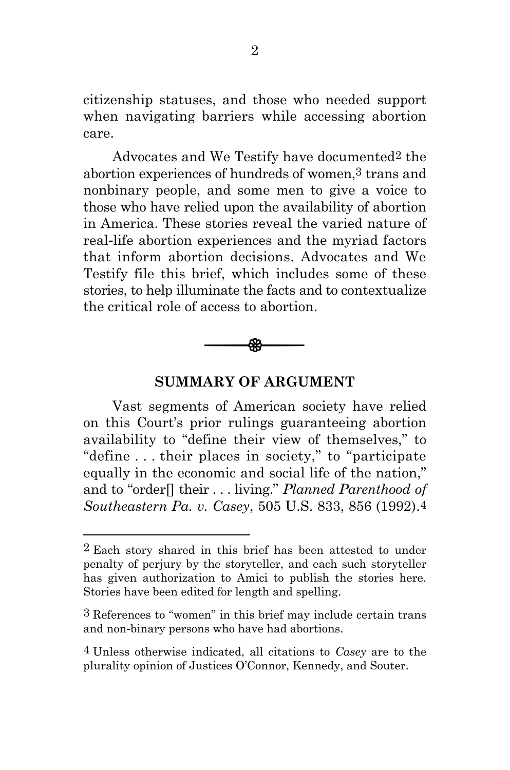citizenship statuses, and those who needed support when navigating barriers while accessing abortion care.

Advocates and We Testify have documented2 the abortion experiences of hundreds of women,3 trans and nonbinary people, and some men to give a voice to those who have relied upon the availability of abortion in America. These stories reveal the varied nature of real-life abortion experiences and the myriad factors that inform abortion decisions. Advocates and We Testify file this brief, which includes some of these stories, to help illuminate the facts and to contextualize the critical role of access to abortion.



#### **SUMMARY OF ARGUMENT**

<span id="page-6-0"></span>Vast segments of American society have relied on this Court's prior rulings guaranteeing abortion availability to "define their view of themselves," to "define . . . their places in society," to "participate equally in the economic and social life of the nation," and to "order[] their . . . living." *Planned Parenthood of Southeastern Pa. v. Casey*, 505 U.S. 833, 856 (1992).4

<sup>2</sup> Each story shared in this brief has been attested to under penalty of perjury by the storyteller, and each such storyteller has given authorization to Amici to publish the stories here. Stories have been edited for length and spelling.

<sup>3</sup> References to "women" in this brief may include certain trans and non-binary persons who have had abortions.

<sup>4</sup> Unless otherwise indicated, all citations to *Casey* are to the plurality opinion of Justices O'Connor, Kennedy, and Souter.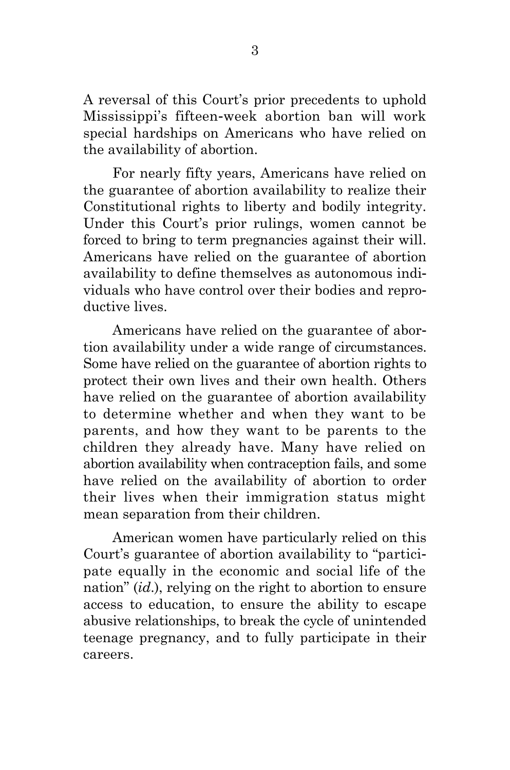A reversal of this Court's prior precedents to uphold Mississippi's fifteen-week abortion ban will work special hardships on Americans who have relied on the availability of abortion.

For nearly fifty years, Americans have relied on the guarantee of abortion availability to realize their Constitutional rights to liberty and bodily integrity. Under this Court's prior rulings, women cannot be forced to bring to term pregnancies against their will. Americans have relied on the guarantee of abortion availability to define themselves as autonomous individuals who have control over their bodies and reproductive lives.

Americans have relied on the guarantee of abortion availability under a wide range of circumstances. Some have relied on the guarantee of abortion rights to protect their own lives and their own health. Others have relied on the guarantee of abortion availability to determine whether and when they want to be parents, and how they want to be parents to the children they already have. Many have relied on abortion availability when contraception fails, and some have relied on the availability of abortion to order their lives when their immigration status might mean separation from their children.

American women have particularly relied on this Court's guarantee of abortion availability to "participate equally in the economic and social life of the nation" (*id*.), relying on the right to abortion to ensure access to education, to ensure the ability to escape abusive relationships, to break the cycle of unintended teenage pregnancy, and to fully participate in their careers.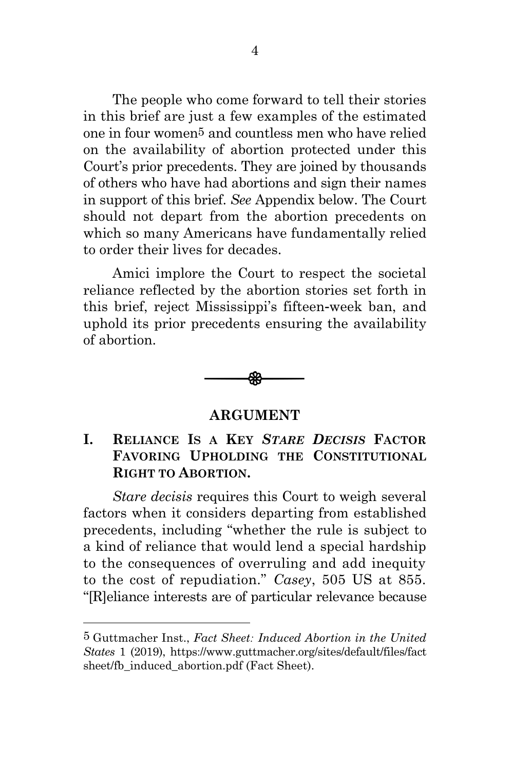The people who come forward to tell their stories in this brief are just a few examples of the estimated one in four women5 and countless men who have relied on the availability of abortion protected under this Court's prior precedents. They are joined by thousands of others who have had abortions and sign their names in support of this brief. *See* Appendix below. The Court should not depart from the abortion precedents on which so many Americans have fundamentally relied to order their lives for decades.

Amici implore the Court to respect the societal reliance reflected by the abortion stories set forth in this brief, reject Mississippi's fifteen-week ban, and uphold its prior precedents ensuring the availability of abortion.



#### **ARGUMENT**

#### <span id="page-8-1"></span><span id="page-8-0"></span>**I. RELIANCE IS A KEY** *STARE DECISIS* **FACTOR FAVORING UPHOLDING THE CONSTITUTIONAL RIGHT TO ABORTION.**

*Stare decisis* requires this Court to weigh several factors when it considers departing from established precedents, including "whether the rule is subject to a kind of reliance that would lend a special hardship to the consequences of overruling and add inequity to the cost of repudiation." *Casey*, 505 US at 855. "[R]eliance interests are of particular relevance because

<sup>5</sup> Guttmacher Inst., *Fact Sheet: Induced Abortion in the United States* 1 (2019), https://www.guttmacher.org/sites/default/files/fact sheet/fb\_induced\_abortion.pdf (Fact Sheet).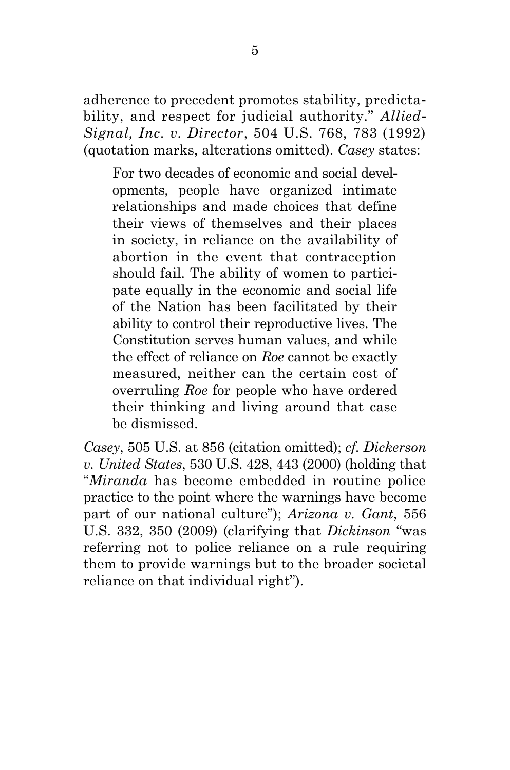adherence to precedent promotes stability, predictability, and respect for judicial authority." *Allied-Signal, Inc. v. Director*, 504 U.S. 768, 783 (1992) (quotation marks, alterations omitted). *Casey* states:

For two decades of economic and social developments, people have organized intimate relationships and made choices that define their views of themselves and their places in society, in reliance on the availability of abortion in the event that contraception should fail. The ability of women to participate equally in the economic and social life of the Nation has been facilitated by their ability to control their reproductive lives. The Constitution serves human values, and while the effect of reliance on *Roe* cannot be exactly measured, neither can the certain cost of overruling *Roe* for people who have ordered their thinking and living around that case be dismissed.

*Casey*, 505 U.S. at 856 (citation omitted); *cf. Dickerson v. United States*, 530 U.S. 428, 443 (2000) (holding that "*Miranda* has become embedded in routine police practice to the point where the warnings have become part of our national culture"); *Arizona v. Gant*, 556 U.S. 332, 350 (2009) (clarifying that *Dickinson* "was referring not to police reliance on a rule requiring them to provide warnings but to the broader societal reliance on that individual right").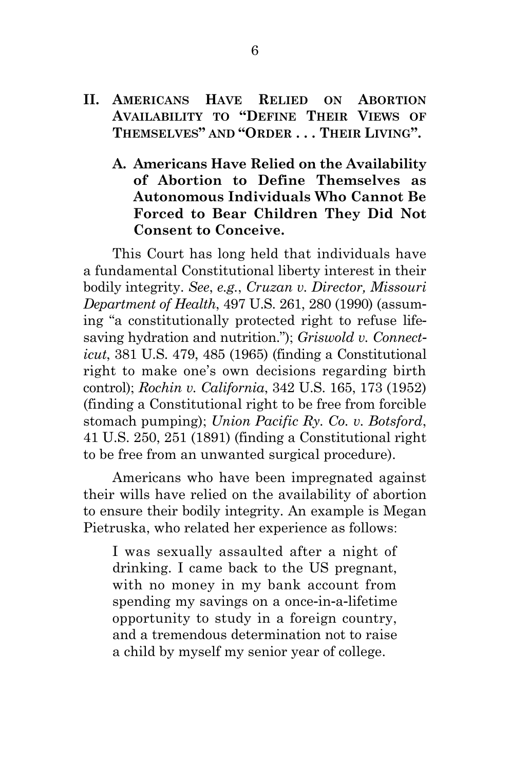#### <span id="page-10-0"></span>**II. AMERICANS HAVE RELIED ON ABORTION AVAILABILITY TO "DEFINE THEIR VIEWS OF THEMSELVES" AND "ORDER . . . THEIR LIVING".**

<span id="page-10-1"></span>**A. Americans Have Relied on the Availability of Abortion to Define Themselves as Autonomous Individuals Who Cannot Be Forced to Bear Children They Did Not Consent to Conceive.**

This Court has long held that individuals have a fundamental Constitutional liberty interest in their bodily integrity. *See*, *e.g.*, *Cruzan v. Director, Missouri Department of Health*, 497 U.S. 261, 280 (1990) (assuming "a constitutionally protected right to refuse lifesaving hydration and nutrition."); *Griswold v. Connecticut*, 381 U.S. 479, 485 (1965) (finding a Constitutional right to make one's own decisions regarding birth control); *Rochin v. California*, 342 U.S. 165, 173 (1952) (finding a Constitutional right to be free from forcible stomach pumping); *Union Pacific Ry. Co. v. Botsford*, 41 U.S. 250, 251 (1891) (finding a Constitutional right to be free from an unwanted surgical procedure).

Americans who have been impregnated against their wills have relied on the availability of abortion to ensure their bodily integrity. An example is Megan Pietruska, who related her experience as follows:

I was sexually assaulted after a night of drinking. I came back to the US pregnant, with no money in my bank account from spending my savings on a once-in-a-lifetime opportunity to study in a foreign country, and a tremendous determination not to raise a child by myself my senior year of college.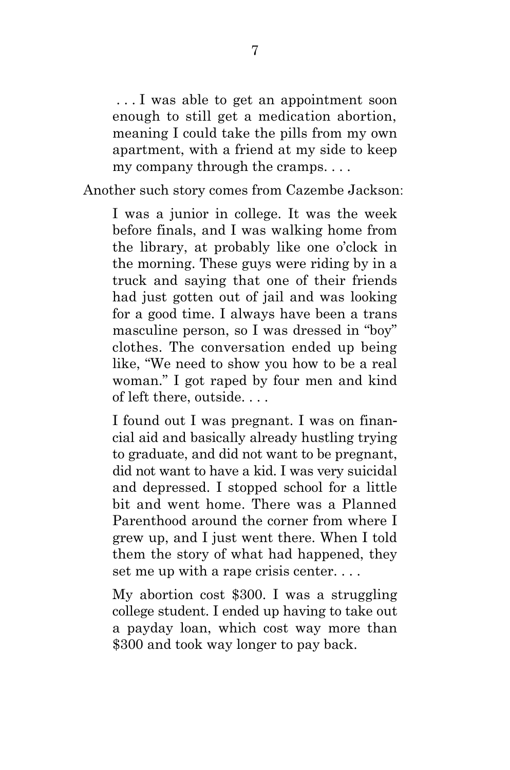. . . I was able to get an appointment soon enough to still get a medication abortion, meaning I could take the pills from my own apartment, with a friend at my side to keep my company through the cramps. . . .

Another such story comes from Cazembe Jackson:

I was a junior in college. It was the week before finals, and I was walking home from the library, at probably like one o'clock in the morning. These guys were riding by in a truck and saying that one of their friends had just gotten out of jail and was looking for a good time. I always have been a trans masculine person, so I was dressed in "boy" clothes. The conversation ended up being like, "We need to show you how to be a real woman." I got raped by four men and kind of left there, outside. . . .

I found out I was pregnant. I was on financial aid and basically already hustling trying to graduate, and did not want to be pregnant, did not want to have a kid. I was very suicidal and depressed. I stopped school for a little bit and went home. There was a Planned Parenthood around the corner from where I grew up, and I just went there. When I told them the story of what had happened, they set me up with a rape crisis center. . . .

My abortion cost \$300. I was a struggling college student. I ended up having to take out a payday loan, which cost way more than \$300 and took way longer to pay back.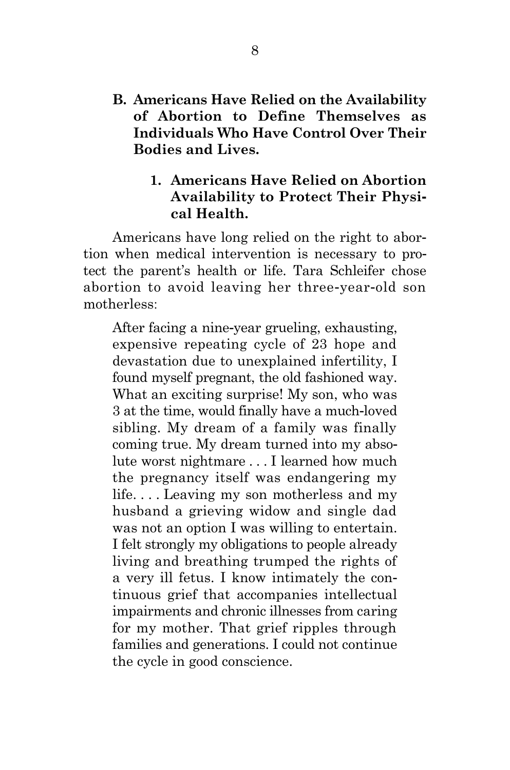<span id="page-12-0"></span>**B. Americans Have Relied on the Availability of Abortion to Define Themselves as Individuals Who Have Control Over Their Bodies and Lives.**

#### **1. Americans Have Relied on Abortion Availability to Protect Their Physical Health.**

Americans have long relied on the right to abortion when medical intervention is necessary to protect the parent's health or life. Tara Schleifer chose abortion to avoid leaving her three-year-old son motherless:

After facing a nine-year grueling, exhausting, expensive repeating cycle of 23 hope and devastation due to unexplained infertility, I found myself pregnant, the old fashioned way. What an exciting surprise! My son, who was 3 at the time, would finally have a much-loved sibling. My dream of a family was finally coming true. My dream turned into my absolute worst nightmare . . . I learned how much the pregnancy itself was endangering my life. . . . Leaving my son motherless and my husband a grieving widow and single dad was not an option I was willing to entertain. I felt strongly my obligations to people already living and breathing trumped the rights of a very ill fetus. I know intimately the continuous grief that accompanies intellectual impairments and chronic illnesses from caring for my mother. That grief ripples through families and generations. I could not continue the cycle in good conscience.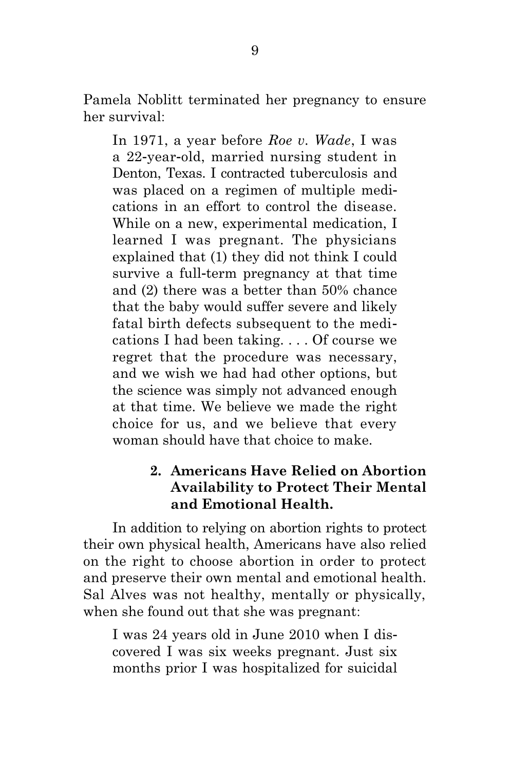Pamela Noblitt terminated her pregnancy to ensure her survival:

In 1971, a year before *Roe v. Wade*, I was a 22-year-old, married nursing student in Denton, Texas. I contracted tuberculosis and was placed on a regimen of multiple medications in an effort to control the disease. While on a new, experimental medication, I learned I was pregnant. The physicians explained that (1) they did not think I could survive a full-term pregnancy at that time and (2) there was a better than 50% chance that the baby would suffer severe and likely fatal birth defects subsequent to the medications I had been taking. . . . Of course we regret that the procedure was necessary, and we wish we had had other options, but the science was simply not advanced enough at that time. We believe we made the right choice for us, and we believe that every woman should have that choice to make.

#### **2. Americans Have Relied on Abortion Availability to Protect Their Mental and Emotional Health.**

In addition to relying on abortion rights to protect their own physical health, Americans have also relied on the right to choose abortion in order to protect and preserve their own mental and emotional health. Sal Alves was not healthy, mentally or physically, when she found out that she was pregnant:

I was 24 years old in June 2010 when I discovered I was six weeks pregnant. Just six months prior I was hospitalized for suicidal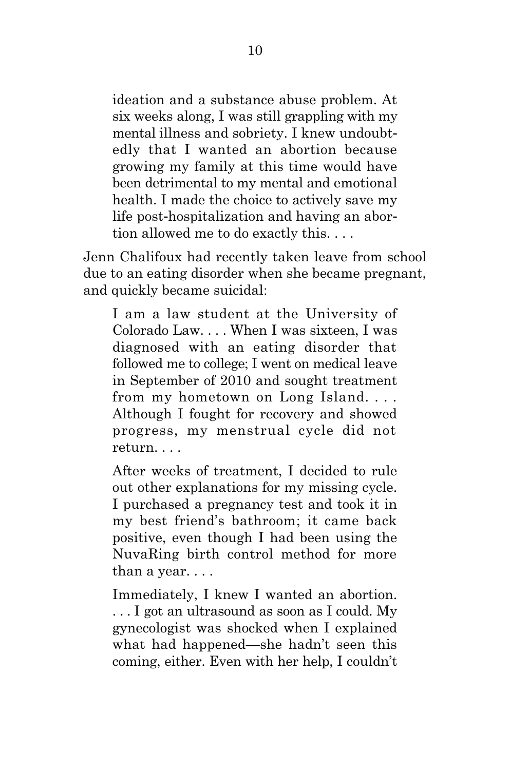ideation and a substance abuse problem. At six weeks along, I was still grappling with my mental illness and sobriety. I knew undoubtedly that I wanted an abortion because growing my family at this time would have been detrimental to my mental and emotional health. I made the choice to actively save my life post-hospitalization and having an abortion allowed me to do exactly this. . . .

Jenn Chalifoux had recently taken leave from school due to an eating disorder when she became pregnant, and quickly became suicidal:

I am a law student at the University of Colorado Law. . . . When I was sixteen, I was diagnosed with an eating disorder that followed me to college; I went on medical leave in September of 2010 and sought treatment from my hometown on Long Island. . . . Although I fought for recovery and showed progress, my menstrual cycle did not return. . . .

After weeks of treatment, I decided to rule out other explanations for my missing cycle. I purchased a pregnancy test and took it in my best friend's bathroom; it came back positive, even though I had been using the NuvaRing birth control method for more than a year. . . .

Immediately, I knew I wanted an abortion. . . . I got an ultrasound as soon as I could. My gynecologist was shocked when I explained what had happened—she hadn't seen this coming, either. Even with her help, I couldn't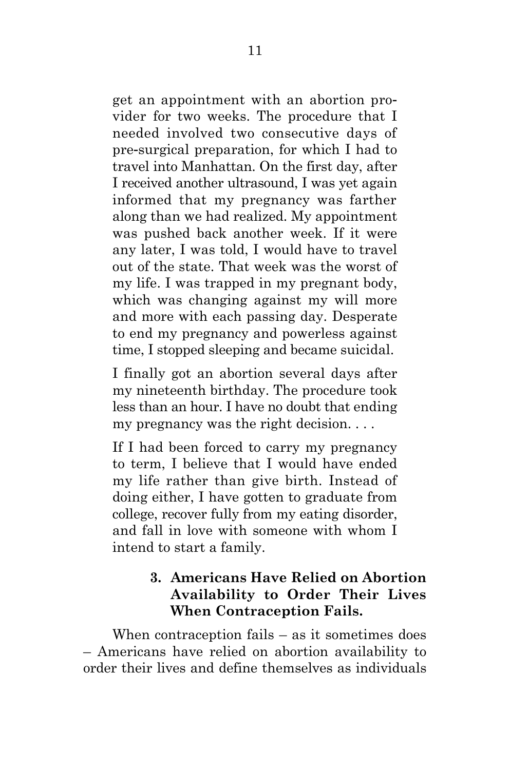get an appointment with an abortion provider for two weeks. The procedure that I needed involved two consecutive days of pre-surgical preparation, for which I had to travel into Manhattan. On the first day, after I received another ultrasound, I was yet again informed that my pregnancy was farther along than we had realized. My appointment was pushed back another week. If it were any later, I was told, I would have to travel out of the state. That week was the worst of my life. I was trapped in my pregnant body, which was changing against my will more and more with each passing day. Desperate to end my pregnancy and powerless against time, I stopped sleeping and became suicidal.

I finally got an abortion several days after my nineteenth birthday. The procedure took less than an hour. I have no doubt that ending my pregnancy was the right decision. . . .

If I had been forced to carry my pregnancy to term, I believe that I would have ended my life rather than give birth. Instead of doing either, I have gotten to graduate from college, recover fully from my eating disorder, and fall in love with someone with whom I intend to start a family.

#### **3. Americans Have Relied on Abortion Availability to Order Their Lives When Contraception Fails.**

When contraception fails – as it sometimes does – Americans have relied on abortion availability to order their lives and define themselves as individuals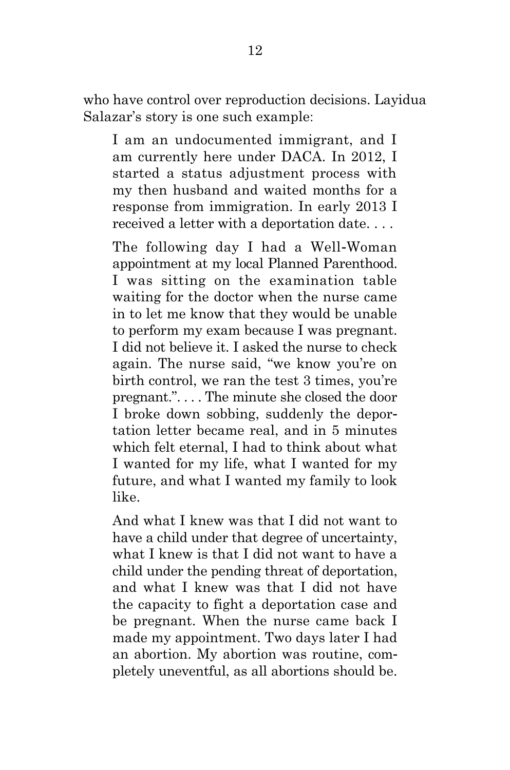who have control over reproduction decisions. Layidua Salazar's story is one such example:

I am an undocumented immigrant, and I am currently here under DACA. In 2012, I started a status adjustment process with my then husband and waited months for a response from immigration. In early 2013 I received a letter with a deportation date. . . .

The following day I had a Well-Woman appointment at my local Planned Parenthood. I was sitting on the examination table waiting for the doctor when the nurse came in to let me know that they would be unable to perform my exam because I was pregnant. I did not believe it. I asked the nurse to check again. The nurse said, "we know you're on birth control, we ran the test 3 times, you're pregnant.". . . . The minute she closed the door I broke down sobbing, suddenly the deportation letter became real, and in 5 minutes which felt eternal, I had to think about what I wanted for my life, what I wanted for my future, and what I wanted my family to look like.

And what I knew was that I did not want to have a child under that degree of uncertainty, what I knew is that I did not want to have a child under the pending threat of deportation, and what I knew was that I did not have the capacity to fight a deportation case and be pregnant. When the nurse came back I made my appointment. Two days later I had an abortion. My abortion was routine, completely uneventful, as all abortions should be.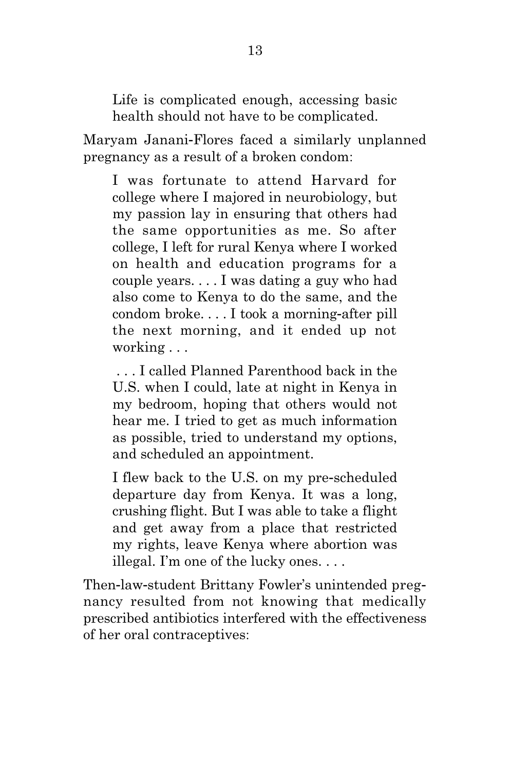Life is complicated enough, accessing basic health should not have to be complicated.

Maryam Janani-Flores faced a similarly unplanned pregnancy as a result of a broken condom:

I was fortunate to attend Harvard for college where I majored in neurobiology, but my passion lay in ensuring that others had the same opportunities as me. So after college, I left for rural Kenya where I worked on health and education programs for a couple years. . . . I was dating a guy who had also come to Kenya to do the same, and the condom broke. . . . I took a morning-after pill the next morning, and it ended up not working . . .

. . . I called Planned Parenthood back in the U.S. when I could, late at night in Kenya in my bedroom, hoping that others would not hear me. I tried to get as much information as possible, tried to understand my options, and scheduled an appointment.

I flew back to the U.S. on my pre-scheduled departure day from Kenya. It was a long, crushing flight. But I was able to take a flight and get away from a place that restricted my rights, leave Kenya where abortion was illegal. I'm one of the lucky ones. . . .

Then-law-student Brittany Fowler's unintended pregnancy resulted from not knowing that medically prescribed antibiotics interfered with the effectiveness of her oral contraceptives: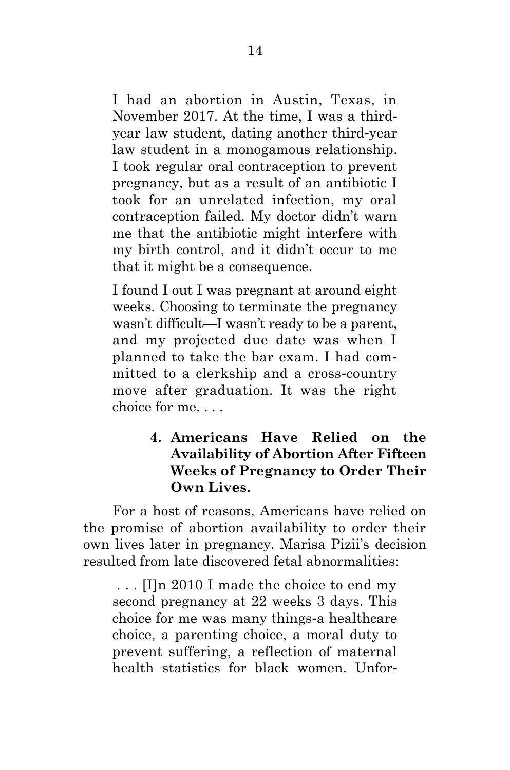I had an abortion in Austin, Texas, in November 2017. At the time, I was a thirdyear law student, dating another third-year law student in a monogamous relationship. I took regular oral contraception to prevent pregnancy, but as a result of an antibiotic I took for an unrelated infection, my oral contraception failed. My doctor didn't warn me that the antibiotic might interfere with my birth control, and it didn't occur to me that it might be a consequence.

I found I out I was pregnant at around eight weeks. Choosing to terminate the pregnancy wasn't difficult—I wasn't ready to be a parent, and my projected due date was when I planned to take the bar exam. I had committed to a clerkship and a cross-country move after graduation. It was the right choice for me. . . .

## **4. Americans Have Relied on the Availability of Abortion After Fifteen Weeks of Pregnancy to Order Their Own Lives.**

For a host of reasons, Americans have relied on the promise of abortion availability to order their own lives later in pregnancy. Marisa Pizii's decision resulted from late discovered fetal abnormalities:

. . . [I]n 2010 I made the choice to end my second pregnancy at 22 weeks 3 days. This choice for me was many things-a healthcare choice, a parenting choice, a moral duty to prevent suffering, a reflection of maternal health statistics for black women. Unfor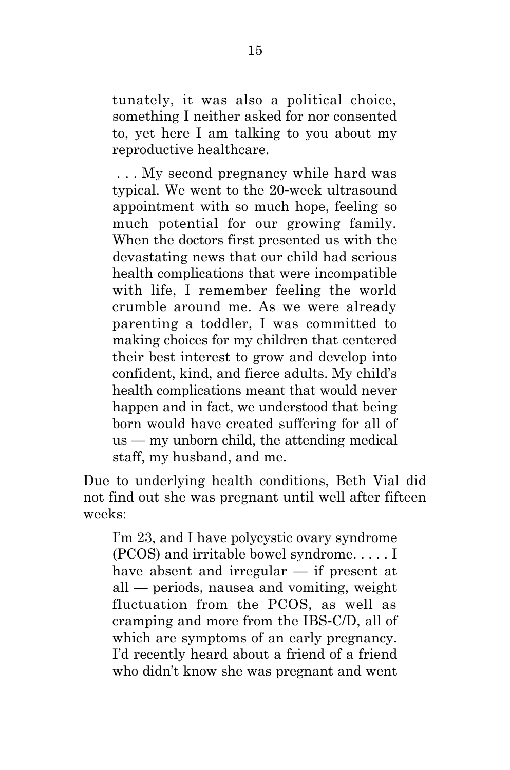tunately, it was also a political choice, something I neither asked for nor consented to, yet here I am talking to you about my reproductive healthcare.

. . . My second pregnancy while hard was typical. We went to the 20-week ultrasound appointment with so much hope, feeling so much potential for our growing family. When the doctors first presented us with the devastating news that our child had serious health complications that were incompatible with life, I remember feeling the world crumble around me. As we were already parenting a toddler, I was committed to making choices for my children that centered their best interest to grow and develop into confident, kind, and fierce adults. My child's health complications meant that would never happen and in fact, we understood that being born would have created suffering for all of us — my unborn child, the attending medical staff, my husband, and me.

Due to underlying health conditions, Beth Vial did not find out she was pregnant until well after fifteen weeks:

I'm 23, and I have polycystic ovary syndrome (PCOS) and irritable bowel syndrome. . . . . I have absent and irregular — if present at all — periods, nausea and vomiting, weight fluctuation from the PCOS, as well as cramping and more from the IBS-C/D, all of which are symptoms of an early pregnancy. I'd recently heard about a friend of a friend who didn't know she was pregnant and went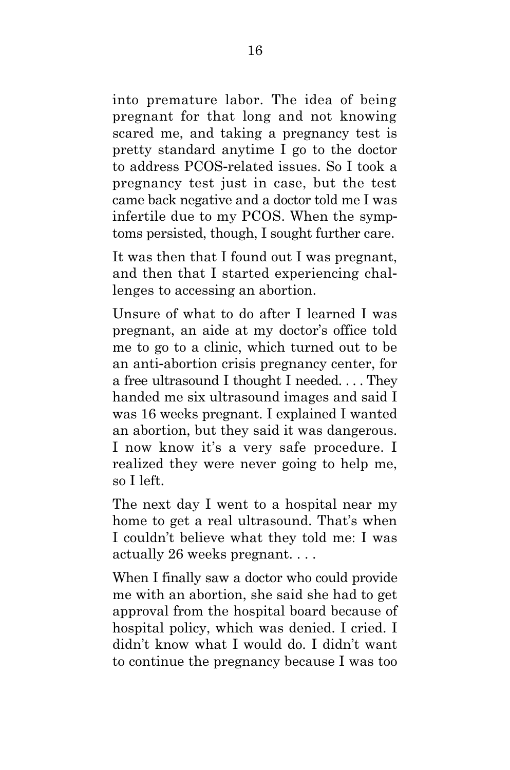into premature labor. The idea of being pregnant for that long and not knowing scared me, and taking a pregnancy test is pretty standard anytime I go to the doctor to address PCOS-related issues. So I took a pregnancy test just in case, but the test came back negative and a doctor told me I was infertile due to my PCOS. When the symptoms persisted, though, I sought further care.

It was then that I found out I was pregnant, and then that I started experiencing challenges to accessing an abortion.

Unsure of what to do after I learned I was pregnant, an aide at my doctor's office told me to go to a clinic, which turned out to be an anti-abortion crisis pregnancy center, for a free ultrasound I thought I needed. . . . They handed me six ultrasound images and said I was 16 weeks pregnant. I explained I wanted an abortion, but they said it was dangerous. I now know it's a very safe procedure. I realized they were never going to help me, so I left.

The next day I went to a hospital near my home to get a real ultrasound. That's when I couldn't believe what they told me: I was actually 26 weeks pregnant. . . .

When I finally saw a doctor who could provide me with an abortion, she said she had to get approval from the hospital board because of hospital policy, which was denied. I cried. I didn't know what I would do. I didn't want to continue the pregnancy because I was too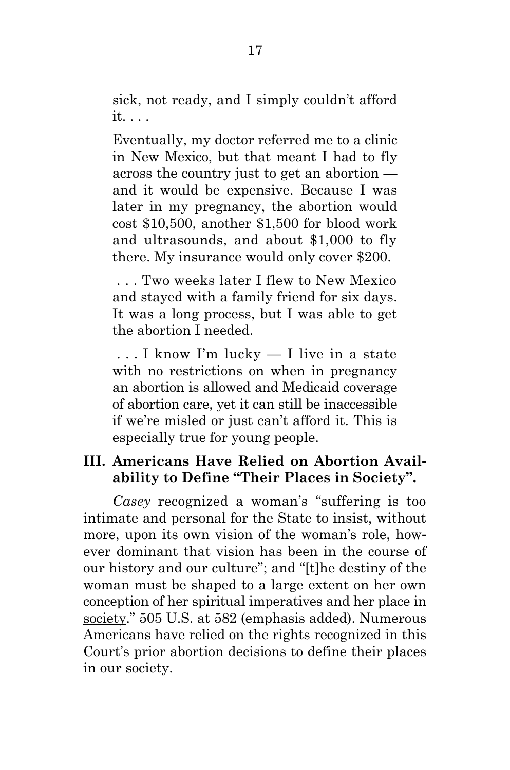sick, not ready, and I simply couldn't afford it. . . .

Eventually, my doctor referred me to a clinic in New Mexico, but that meant I had to fly across the country just to get an abortion and it would be expensive. Because I was later in my pregnancy, the abortion would cost \$10,500, another \$1,500 for blood work and ultrasounds, and about \$1,000 to fly there. My insurance would only cover \$200.

. . . Two weeks later I flew to New Mexico and stayed with a family friend for six days. It was a long process, but I was able to get the abortion I needed.

. . . I know I'm lucky — I live in a state with no restrictions on when in pregnancy an abortion is allowed and Medicaid coverage of abortion care, yet it can still be inaccessible if we're misled or just can't afford it. This is especially true for young people.

#### <span id="page-21-0"></span>**III. Americans Have Relied on Abortion Availability to Define "Their Places in Society".**

*Casey* recognized a woman's "suffering is too intimate and personal for the State to insist, without more, upon its own vision of the woman's role, however dominant that vision has been in the course of our history and our culture"; and "[t]he destiny of the woman must be shaped to a large extent on her own conception of her spiritual imperatives and her place in society." 505 U.S. at 582 (emphasis added). Numerous Americans have relied on the rights recognized in this Court's prior abortion decisions to define their places in our society.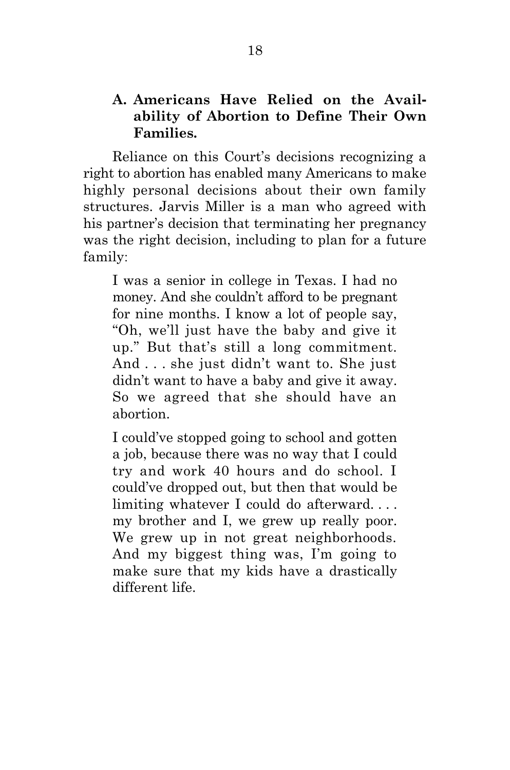#### <span id="page-22-0"></span>**A. Americans Have Relied on the Availability of Abortion to Define Their Own Families.**

Reliance on this Court's decisions recognizing a right to abortion has enabled many Americans to make highly personal decisions about their own family structures. Jarvis Miller is a man who agreed with his partner's decision that terminating her pregnancy was the right decision, including to plan for a future family:

I was a senior in college in Texas. I had no money. And she couldn't afford to be pregnant for nine months. I know a lot of people say, "Oh, we'll just have the baby and give it up." But that's still a long commitment. And . . . she just didn't want to. She just didn't want to have a baby and give it away. So we agreed that she should have an abortion.

I could've stopped going to school and gotten a job, because there was no way that I could try and work 40 hours and do school. I could've dropped out, but then that would be limiting whatever I could do afterward. . . . my brother and I, we grew up really poor. We grew up in not great neighborhoods. And my biggest thing was, I'm going to make sure that my kids have a drastically different life.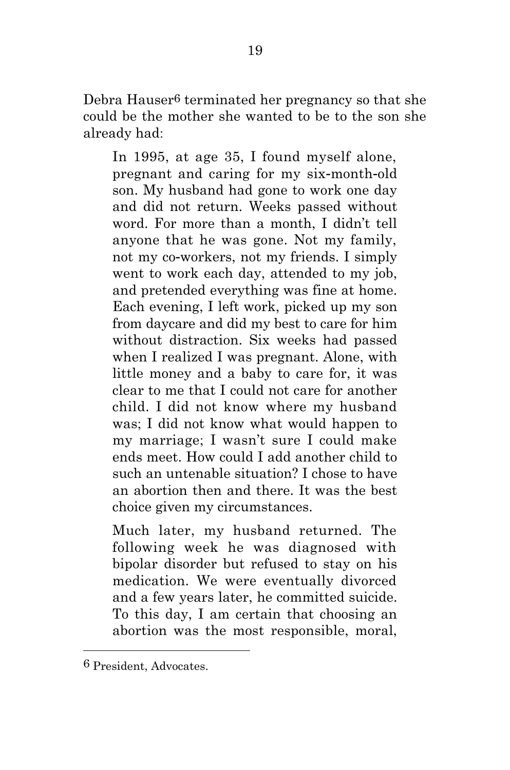Debra Hauser6 terminated her pregnancy so that she could be the mother she wanted to be to the son she already had:

In 1995, at age 35, I found myself alone, pregnant and caring for my six-month-old son. My husband had gone to work one day and did not return. Weeks passed without word. For more than a month, I didn't tell anyone that he was gone. Not my family, not my co-workers, not my friends. I simply went to work each day, attended to my job, and pretended everything was fine at home. Each evening, I left work, picked up my son from daycare and did my best to care for him without distraction. Six weeks had passed when I realized I was pregnant. Alone, with little money and a baby to care for, it was clear to me that I could not care for another child. I did not know where my husband was; I did not know what would happen to my marriage; I wasn't sure I could make ends meet. How could I add another child to such an untenable situation? I chose to have an abortion then and there. It was the best choice given my circumstances.

Much later, my husband returned. The following week he was diagnosed with bipolar disorder but refused to stay on his medication. We were eventually divorced and a few years later, he committed suicide. To this day, I am certain that choosing an abortion was the most responsible, moral,

<sup>6</sup> President, Advocates.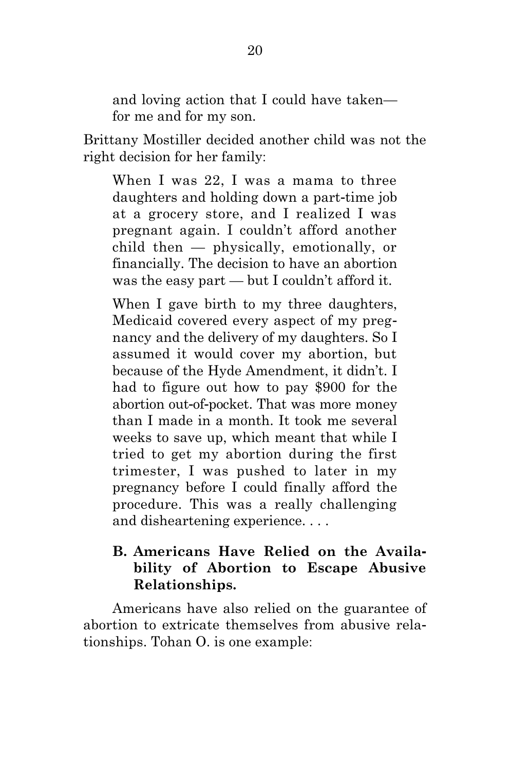and loving action that I could have taken for me and for my son.

Brittany Mostiller decided another child was not the right decision for her family:

When I was 22, I was a mama to three daughters and holding down a part-time job at a grocery store, and I realized I was pregnant again. I couldn't afford another child then — physically, emotionally, or financially. The decision to have an abortion was the easy part — but I couldn't afford it.

When I gave birth to my three daughters, Medicaid covered every aspect of my pregnancy and the delivery of my daughters. So I assumed it would cover my abortion, but because of the Hyde Amendment, it didn't. I had to figure out how to pay \$900 for the abortion out-of-pocket. That was more money than I made in a month. It took me several weeks to save up, which meant that while I tried to get my abortion during the first trimester, I was pushed to later in my pregnancy before I could finally afford the procedure. This was a really challenging and disheartening experience. . . .

#### <span id="page-24-0"></span>**B. Americans Have Relied on the Availability of Abortion to Escape Abusive Relationships.**

Americans have also relied on the guarantee of abortion to extricate themselves from abusive relationships. Tohan O. is one example: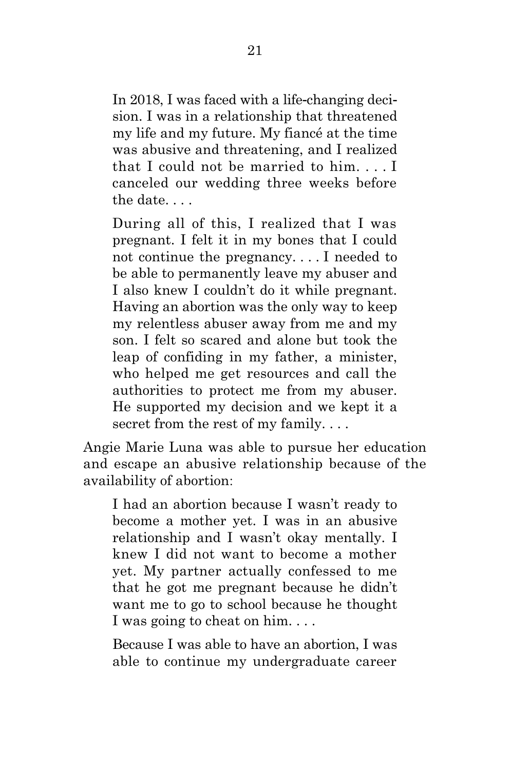In 2018, I was faced with a life-changing decision. I was in a relationship that threatened my life and my future. My fiancé at the time was abusive and threatening, and I realized that I could not be married to him. . . . I canceled our wedding three weeks before the date. . . .

During all of this, I realized that I was pregnant. I felt it in my bones that I could not continue the pregnancy. . . . I needed to be able to permanently leave my abuser and I also knew I couldn't do it while pregnant. Having an abortion was the only way to keep my relentless abuser away from me and my son. I felt so scared and alone but took the leap of confiding in my father, a minister, who helped me get resources and call the authorities to protect me from my abuser. He supported my decision and we kept it a secret from the rest of my family....

Angie Marie Luna was able to pursue her education and escape an abusive relationship because of the availability of abortion:

I had an abortion because I wasn't ready to become a mother yet. I was in an abusive relationship and I wasn't okay mentally. I knew I did not want to become a mother yet. My partner actually confessed to me that he got me pregnant because he didn't want me to go to school because he thought I was going to cheat on him. . . .

Because I was able to have an abortion, I was able to continue my undergraduate career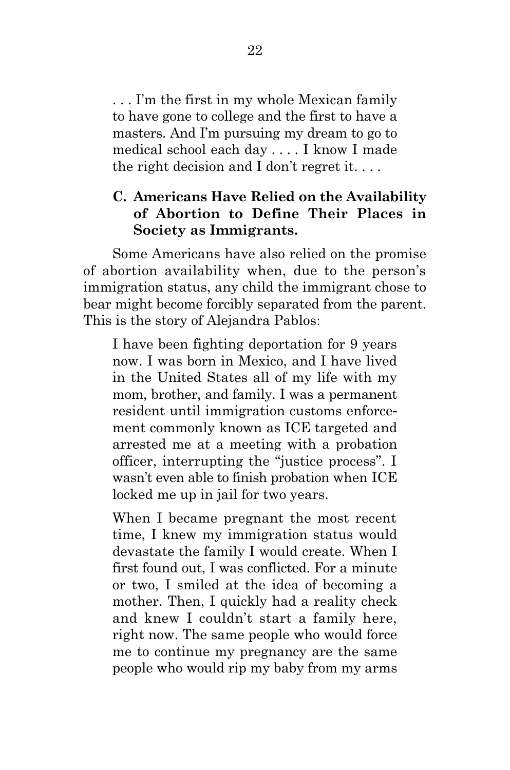. . . I'm the first in my whole Mexican family to have gone to college and the first to have a masters. And I'm pursuing my dream to go to medical school each day . . . . I know I made the right decision and I don't regret it. . . .

#### <span id="page-26-0"></span>**C. Americans Have Relied on the Availability of Abortion to Define Their Places in Society as Immigrants.**

Some Americans have also relied on the promise of abortion availability when, due to the person's immigration status, any child the immigrant chose to bear might become forcibly separated from the parent. This is the story of Alejandra Pablos:

I have been fighting deportation for 9 years now. I was born in Mexico, and I have lived in the United States all of my life with my mom, brother, and family. I was a permanent resident until immigration customs enforcement commonly known as ICE targeted and arrested me at a meeting with a probation officer, interrupting the "justice process". I wasn't even able to finish probation when ICE locked me up in jail for two years.

When I became pregnant the most recent time, I knew my immigration status would devastate the family I would create. When I first found out, I was conflicted. For a minute or two, I smiled at the idea of becoming a mother. Then, I quickly had a reality check and knew I couldn't start a family here, right now. The same people who would force me to continue my pregnancy are the same people who would rip my baby from my arms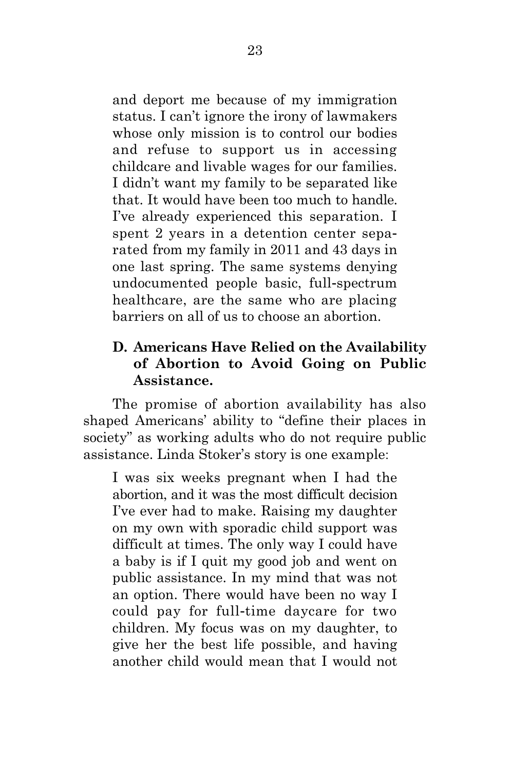and deport me because of my immigration status. I can't ignore the irony of lawmakers whose only mission is to control our bodies and refuse to support us in accessing childcare and livable wages for our families. I didn't want my family to be separated like that. It would have been too much to handle. I've already experienced this separation. I spent 2 years in a detention center separated from my family in 2011 and 43 days in one last spring. The same systems denying undocumented people basic, full-spectrum healthcare, are the same who are placing barriers on all of us to choose an abortion.

#### <span id="page-27-0"></span>**D. Americans Have Relied on the Availability of Abortion to Avoid Going on Public Assistance.**

The promise of abortion availability has also shaped Americans' ability to "define their places in society" as working adults who do not require public assistance. Linda Stoker's story is one example:

I was six weeks pregnant when I had the abortion, and it was the most difficult decision I've ever had to make. Raising my daughter on my own with sporadic child support was difficult at times. The only way I could have a baby is if I quit my good job and went on public assistance. In my mind that was not an option. There would have been no way I could pay for full-time daycare for two children. My focus was on my daughter, to give her the best life possible, and having another child would mean that I would not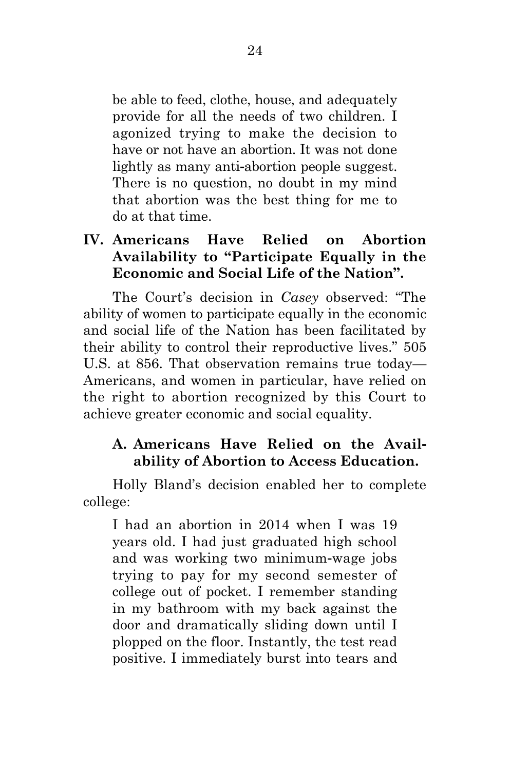be able to feed, clothe, house, and adequately provide for all the needs of two children. I agonized trying to make the decision to have or not have an abortion. It was not done lightly as many anti-abortion people suggest. There is no question, no doubt in my mind that abortion was the best thing for me to do at that time.

## <span id="page-28-0"></span>**IV. Americans Have Relied on Abortion Availability to "Participate Equally in the Economic and Social Life of the Nation".**

The Court's decision in *Casey* observed: "The ability of women to participate equally in the economic and social life of the Nation has been facilitated by their ability to control their reproductive lives." 505 U.S. at 856. That observation remains true today— Americans, and women in particular, have relied on the right to abortion recognized by this Court to achieve greater economic and social equality.

## <span id="page-28-1"></span>**A. Americans Have Relied on the Availability of Abortion to Access Education.**

Holly Bland's decision enabled her to complete college:

I had an abortion in 2014 when I was 19 years old. I had just graduated high school and was working two minimum-wage jobs trying to pay for my second semester of college out of pocket. I remember standing in my bathroom with my back against the door and dramatically sliding down until I plopped on the floor. Instantly, the test read positive. I immediately burst into tears and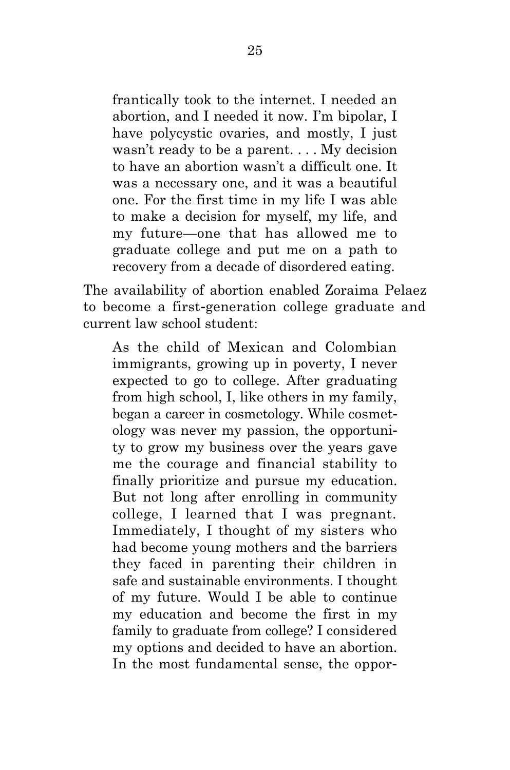frantically took to the internet. I needed an abortion, and I needed it now. I'm bipolar, I have polycystic ovaries, and mostly, I just wasn't ready to be a parent. . . . My decision to have an abortion wasn't a difficult one. It was a necessary one, and it was a beautiful one. For the first time in my life I was able to make a decision for myself, my life, and my future—one that has allowed me to graduate college and put me on a path to recovery from a decade of disordered eating.

The availability of abortion enabled Zoraima Pelaez to become a first-generation college graduate and current law school student:

As the child of Mexican and Colombian immigrants, growing up in poverty, I never expected to go to college. After graduating from high school, I, like others in my family, began a career in cosmetology. While cosmetology was never my passion, the opportunity to grow my business over the years gave me the courage and financial stability to finally prioritize and pursue my education. But not long after enrolling in community college, I learned that I was pregnant. Immediately, I thought of my sisters who had become young mothers and the barriers they faced in parenting their children in safe and sustainable environments. I thought of my future. Would I be able to continue my education and become the first in my family to graduate from college? I considered my options and decided to have an abortion. In the most fundamental sense, the oppor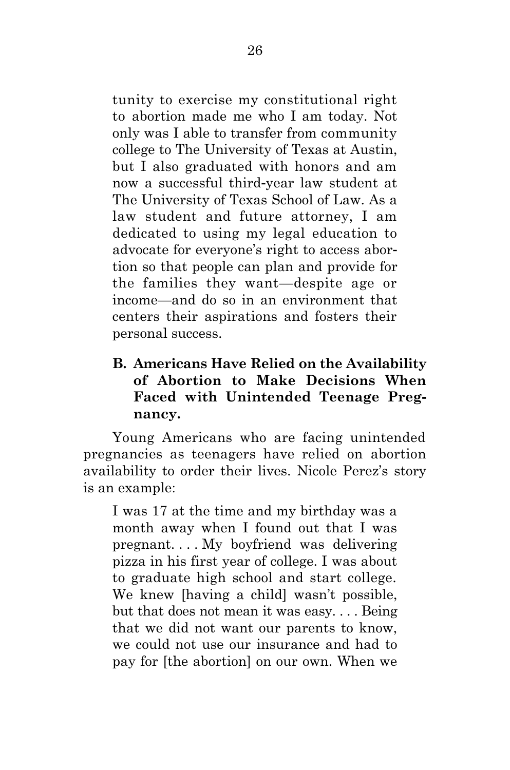tunity to exercise my constitutional right to abortion made me who I am today. Not only was I able to transfer from community college to The University of Texas at Austin, but I also graduated with honors and am now a successful third-year law student at The University of Texas School of Law. As a law student and future attorney, I am dedicated to using my legal education to advocate for everyone's right to access abortion so that people can plan and provide for the families they want—despite age or income—and do so in an environment that centers their aspirations and fosters their personal success.

## <span id="page-30-0"></span>**B. Americans Have Relied on the Availability of Abortion to Make Decisions When Faced with Unintended Teenage Pregnancy.**

Young Americans who are facing unintended pregnancies as teenagers have relied on abortion availability to order their lives. Nicole Perez's story is an example:

I was 17 at the time and my birthday was a month away when I found out that I was pregnant. . . . My boyfriend was delivering pizza in his first year of college. I was about to graduate high school and start college. We knew [having a child] wasn't possible, but that does not mean it was easy. . . . Being that we did not want our parents to know, we could not use our insurance and had to pay for [the abortion] on our own. When we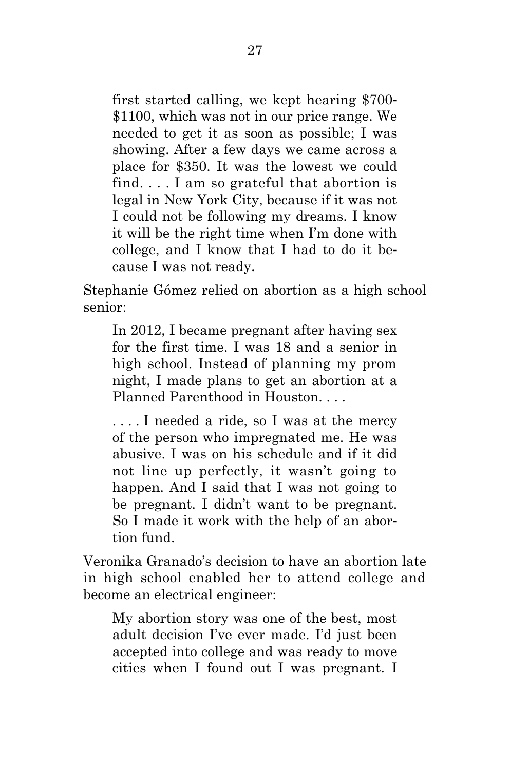first started calling, we kept hearing \$700- \$1100, which was not in our price range. We needed to get it as soon as possible; I was showing. After a few days we came across a place for \$350. It was the lowest we could find. . . . I am so grateful that abortion is legal in New York City, because if it was not I could not be following my dreams. I know it will be the right time when I'm done with college, and I know that I had to do it because I was not ready.

Stephanie Gómez relied on abortion as a high school senior:

In 2012, I became pregnant after having sex for the first time. I was 18 and a senior in high school. Instead of planning my prom night, I made plans to get an abortion at a Planned Parenthood in Houston.

. . . . I needed a ride, so I was at the mercy of the person who impregnated me. He was abusive. I was on his schedule and if it did not line up perfectly, it wasn't going to happen. And I said that I was not going to be pregnant. I didn't want to be pregnant. So I made it work with the help of an abortion fund.

Veronika Granado's decision to have an abortion late in high school enabled her to attend college and become an electrical engineer:

My abortion story was one of the best, most adult decision I've ever made. I'd just been accepted into college and was ready to move cities when I found out I was pregnant. I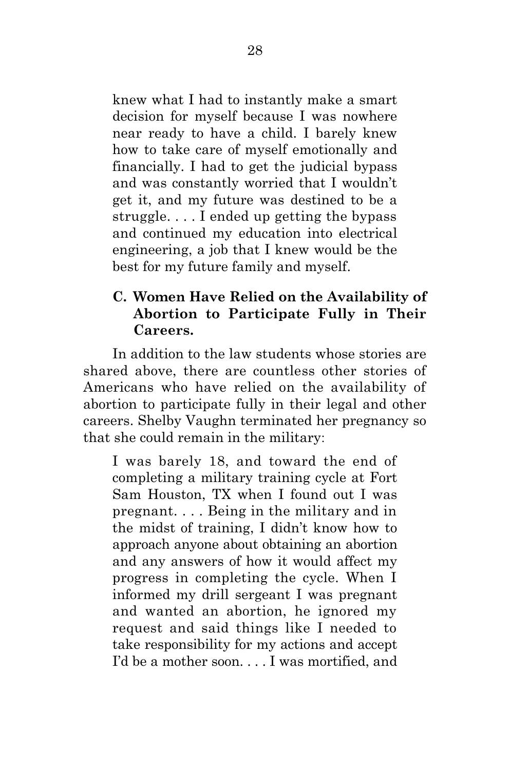knew what I had to instantly make a smart decision for myself because I was nowhere near ready to have a child. I barely knew how to take care of myself emotionally and financially. I had to get the judicial bypass and was constantly worried that I wouldn't get it, and my future was destined to be a struggle. . . . I ended up getting the bypass and continued my education into electrical engineering, a job that I knew would be the best for my future family and myself.

### <span id="page-32-0"></span>**C. Women Have Relied on the Availability of Abortion to Participate Fully in Their Careers.**

In addition to the law students whose stories are shared above, there are countless other stories of Americans who have relied on the availability of abortion to participate fully in their legal and other careers. Shelby Vaughn terminated her pregnancy so that she could remain in the military:

I was barely 18, and toward the end of completing a military training cycle at Fort Sam Houston, TX when I found out I was pregnant. . . . Being in the military and in the midst of training, I didn't know how to approach anyone about obtaining an abortion and any answers of how it would affect my progress in completing the cycle. When I informed my drill sergeant I was pregnant and wanted an abortion, he ignored my request and said things like I needed to take responsibility for my actions and accept I'd be a mother soon. . . . I was mortified, and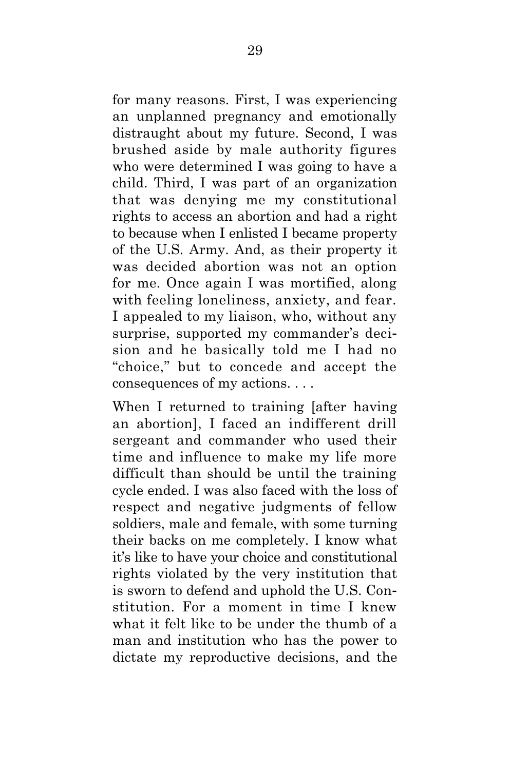for many reasons. First, I was experiencing an unplanned pregnancy and emotionally distraught about my future. Second, I was brushed aside by male authority figures who were determined I was going to have a child. Third, I was part of an organization that was denying me my constitutional rights to access an abortion and had a right to because when I enlisted I became property of the U.S. Army. And, as their property it was decided abortion was not an option for me. Once again I was mortified, along with feeling loneliness, anxiety, and fear. I appealed to my liaison, who, without any surprise, supported my commander's decision and he basically told me I had no "choice," but to concede and accept the consequences of my actions. . . .

When I returned to training [after having an abortion], I faced an indifferent drill sergeant and commander who used their time and influence to make my life more difficult than should be until the training cycle ended. I was also faced with the loss of respect and negative judgments of fellow soldiers, male and female, with some turning their backs on me completely. I know what it's like to have your choice and constitutional rights violated by the very institution that is sworn to defend and uphold the U.S. Constitution. For a moment in time I knew what it felt like to be under the thumb of a man and institution who has the power to dictate my reproductive decisions, and the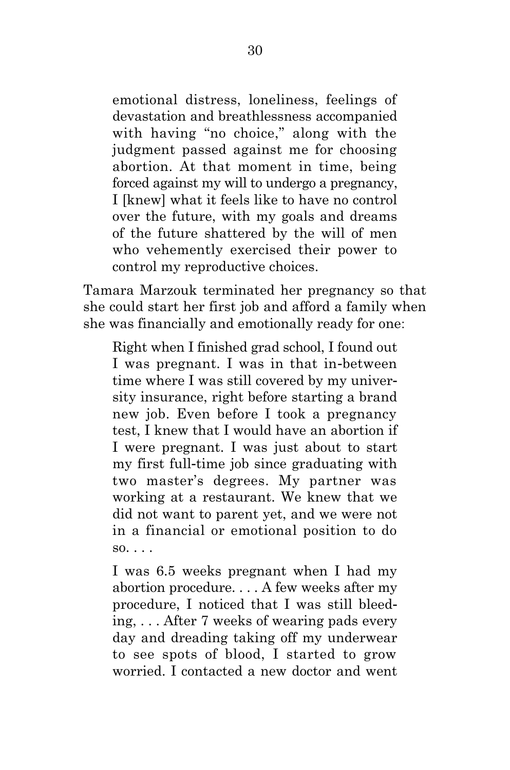emotional distress, loneliness, feelings of devastation and breathlessness accompanied with having "no choice," along with the judgment passed against me for choosing abortion. At that moment in time, being forced against my will to undergo a pregnancy, I [knew] what it feels like to have no control over the future, with my goals and dreams of the future shattered by the will of men who vehemently exercised their power to control my reproductive choices.

Tamara Marzouk terminated her pregnancy so that she could start her first job and afford a family when she was financially and emotionally ready for one:

Right when I finished grad school, I found out I was pregnant. I was in that in-between time where I was still covered by my university insurance, right before starting a brand new job. Even before I took a pregnancy test, I knew that I would have an abortion if I were pregnant. I was just about to start my first full-time job since graduating with two master's degrees. My partner was working at a restaurant. We knew that we did not want to parent yet, and we were not in a financial or emotional position to do so. . . .

I was 6.5 weeks pregnant when I had my abortion procedure. . . . A few weeks after my procedure, I noticed that I was still bleeding, . . . After 7 weeks of wearing pads every day and dreading taking off my underwear to see spots of blood, I started to grow worried. I contacted a new doctor and went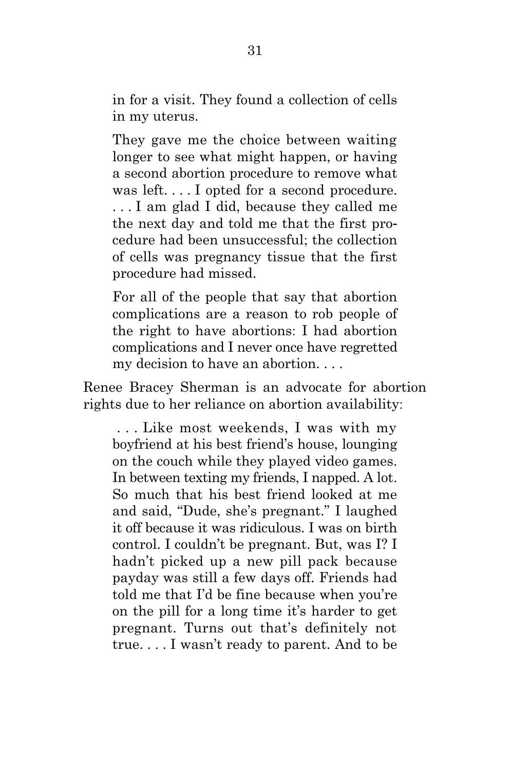in for a visit. They found a collection of cells in my uterus.

They gave me the choice between waiting longer to see what might happen, or having a second abortion procedure to remove what was left. . . . I opted for a second procedure. . . . I am glad I did, because they called me the next day and told me that the first procedure had been unsuccessful; the collection of cells was pregnancy tissue that the first procedure had missed.

For all of the people that say that abortion complications are a reason to rob people of the right to have abortions: I had abortion complications and I never once have regretted my decision to have an abortion. . . .

Renee Bracey Sherman is an advocate for abortion rights due to her reliance on abortion availability:

. . . Like most weekends, I was with my boyfriend at his best friend's house, lounging on the couch while they played video games. In between texting my friends, I napped. A lot. So much that his best friend looked at me and said, "Dude, she's pregnant." I laughed it off because it was ridiculous. I was on birth control. I couldn't be pregnant. But, was I? I hadn't picked up a new pill pack because payday was still a few days off. Friends had told me that I'd be fine because when you're on the pill for a long time it's harder to get pregnant. Turns out that's definitely not true. . . . I wasn't ready to parent. And to be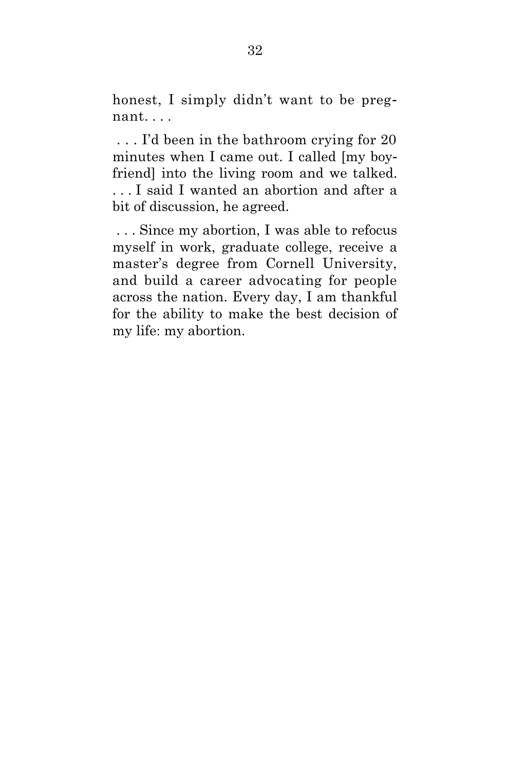honest, I simply didn't want to be pregnant. . . .

. . . I'd been in the bathroom crying for 20 minutes when I came out. I called [my boyfriend] into the living room and we talked. . . . I said I wanted an abortion and after a bit of discussion, he agreed.

. . . Since my abortion, I was able to refocus myself in work, graduate college, receive a master's degree from Cornell University, and build a career advocating for people across the nation. Every day, I am thankful for the ability to make the best decision of my life: my abortion.